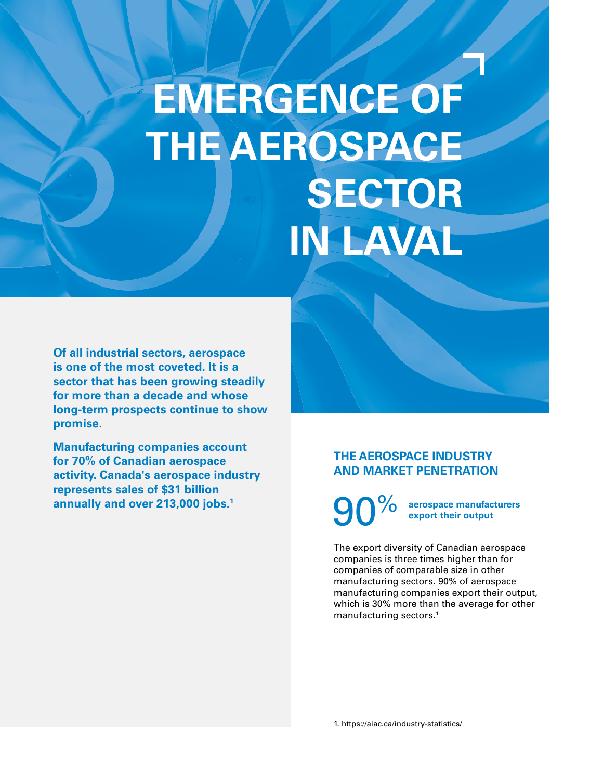# **EMERGENCE OF THE AEROSPACE SECTOR IN LAVAL**

**Of all industrial sectors, aerospace is one of the most coveted. It is a sector that has been growing steadily for more than a decade and whose long-term prospects continue to show promise.**

**Manufacturing companies account for 70% of Canadian aerospace activity. Canada's aerospace industry represents sales of \$31 billion annually and over 213,000 jobs.1**

# **THE AEROSPACE INDUSTRY AND MARKET PENETRATION**

90% **aerospace manufacturers export their output**

The export diversity of Canadian aerospace companies is three times higher than for companies of comparable size in other manufacturing sectors. 90% of aerospace manufacturing companies export their output, which is 30% more than the average for other manufacturing sectors.<sup>1</sup>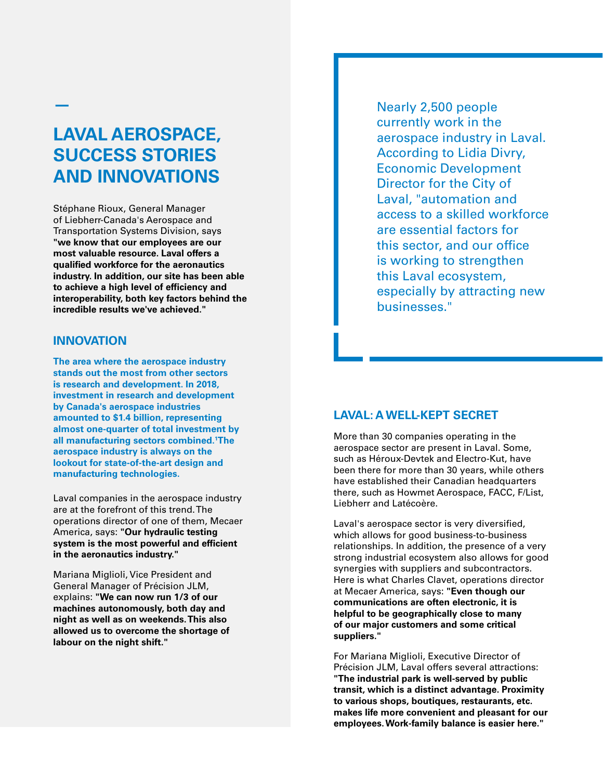# **LAVAL AEROSPACE, SUCCESS STORIES AND INNOVATIONS**

Stéphane Rioux, General Manager of Liebherr-Canada's Aerospace and Transportation Systems Division, says **"we know that our employees are our most valuable resource. Laval offers a qualified workforce for the aeronautics industry. In addition, our site has been able to achieve a high level of efficiency and interoperability, both key factors behind the incredible results we've achieved."**

#### **INNOVATION**

**—**

**The area where the aerospace industry stands out the most from other sectors is research and development. In 2018, investment in research and development by Canada's aerospace industries amounted to \$1.4 billion, representing almost one-quarter of total investment by all manufacturing sectors combined.1 The aerospace industry is always on the lookout for state-of-the-art design and manufacturing technologies.**

Laval companies in the aerospace industry are at the forefront of this trend. The operations director of one of them, Mecaer America, says: **"Our hydraulic testing system is the most powerful and efficient in the aeronautics industry."**

Mariana Miglioli, Vice President and General Manager of Précision JLM, explains: **"We can now run 1/3 of our machines autonomously, both day and night as well as on weekends. This also allowed us to overcome the shortage of labour on the night shift."**

Nearly 2,500 people currently work in the aerospace industry in Laval. According to Lidia Divry, Economic Development Director for the City of Laval, "automation and access to a skilled workforce are essential factors for this sector, and our office is working to strengthen this Laval ecosystem, especially by attracting new businesses."

#### **LAVAL: A WELL-KEPT SECRET**

More than 30 companies operating in the aerospace sector are present in Laval. Some, such as Héroux-Devtek and Electro-Kut, have been there for more than 30 years, while others have established their Canadian headquarters there, such as Howmet Aerospace, FACC, F/List, Liebherr and Latécoère.

Laval's aerospace sector is very diversified, which allows for good business-to-business relationships. In addition, the presence of a very strong industrial ecosystem also allows for good synergies with suppliers and subcontractors. Here is what Charles Clavet, operations director at Mecaer America, says: **"Even though our communications are often electronic, it is helpful to be geographically close to many of our major customers and some critical suppliers."**

For Mariana Miglioli, Executive Director of Précision JLM, Laval offers several attractions: **"The industrial park is well-served by public transit, which is a distinct advantage. Proximity to various shops, boutiques, restaurants, etc. makes life more convenient and pleasant for our employees. Work-family balance is easier here."**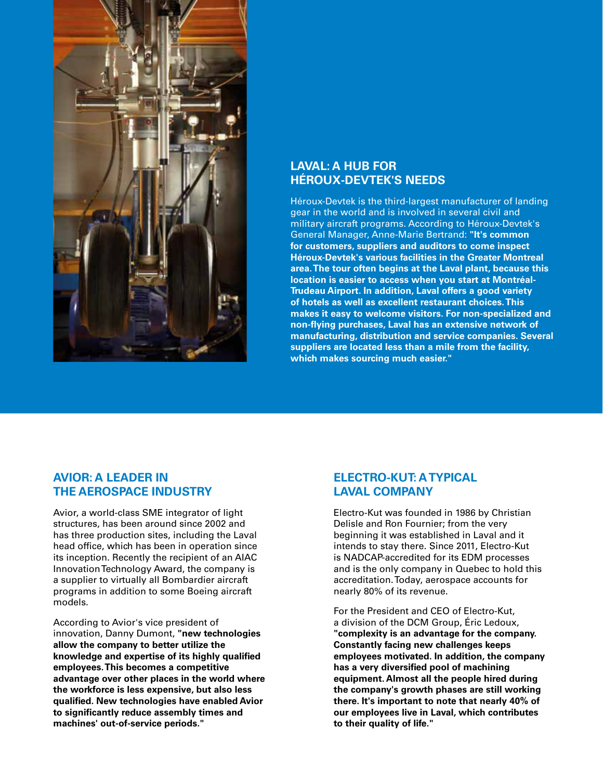

## **LAVAL: A HUB FOR HÉROUX-DEVTEK'S NEEDS**

Héroux-Devtek is the third-largest manufacturer of landing gear in the world and is involved in several civil and military aircraft programs. According to Héroux-Devtek's General Manager, Anne-Marie Bertrand: **"It's common for customers, suppliers and auditors to come inspect Héroux-Devtek's various facilities in the Greater Montreal area. The tour often begins at the Laval plant, because this location is easier to access when you start at Montréal-Trudeau Airport. In addition, Laval offers a good variety of hotels as well as excellent restaurant choices. This makes it easy to welcome visitors. For non-specialized and non-flying purchases, Laval has an extensive network of manufacturing, distribution and service companies. Several suppliers are located less than a mile from the facility, which makes sourcing much easier."**

## **AVIOR: A LEADER IN THE AEROSPACE INDUSTRY**

Avior, a world-class SME integrator of light structures, has been around since 2002 and has three production sites, including the Laval head office, which has been in operation since its inception. Recently the recipient of an AIAC Innovation Technology Award, the company is a supplier to virtually all Bombardier aircraft programs in addition to some Boeing aircraft models.

According to Avior's vice president of innovation, Danny Dumont, **"new technologies allow the company to better utilize the knowledge and expertise of its highly qualified employees. This becomes a competitive advantage over other places in the world where the workforce is less expensive, but also less qualified. New technologies have enabled Avior to significantly reduce assembly times and machines' out-of-service periods."**

## **ELECTRO-KUT: A TYPICAL LAVAL COMPANY**

Electro-Kut was founded in 1986 by Christian Delisle and Ron Fournier; from the very beginning it was established in Laval and it intends to stay there. Since 2011, Electro-Kut is NADCAP-accredited for its EDM processes and is the only company in Quebec to hold this accreditation. Today, aerospace accounts for nearly 80% of its revenue.

For the President and CEO of Electro-Kut, a division of the DCM Group, Éric Ledoux, **"complexity is an advantage for the company. Constantly facing new challenges keeps employees motivated. In addition, the company has a very diversified pool of machining equipment. Almost all the people hired during the company's growth phases are still working there. It's important to note that nearly 40% of our employees live in Laval, which contributes to their quality of life."**